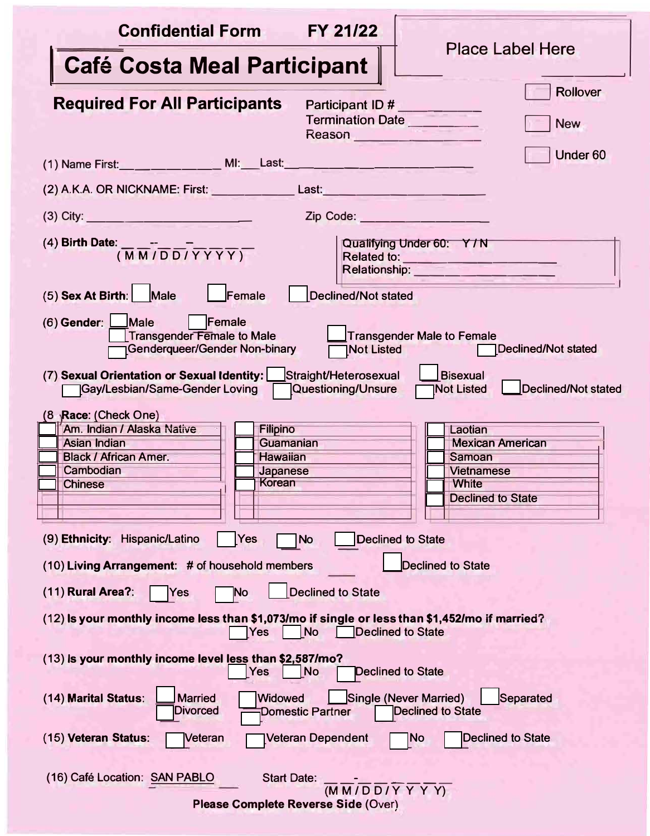| FY 21/22<br><b>Confidential Form</b>                                                                                                                                                                                                          | <b>Place Label Here</b>                                                                                |  |
|-----------------------------------------------------------------------------------------------------------------------------------------------------------------------------------------------------------------------------------------------|--------------------------------------------------------------------------------------------------------|--|
| <b>Café Costa Meal Participant</b>                                                                                                                                                                                                            |                                                                                                        |  |
| <b>Required For All Participants</b><br>Participant ID #<br>Termination Date<br>Reason                                                                                                                                                        | <b>Rollover</b><br><b>New</b>                                                                          |  |
| (1) Name First: __ __ __ __ __ _ MI: __ Last: __ __ __ __ __ __ __ __ __ __                                                                                                                                                                   | Under <sub>60</sub>                                                                                    |  |
| (2) A.K.A. OR NICKNAME: First: Last: Last: Last: Last: Last: Last: Last: Last: Last: Last: Last: Last: Last: Last: Last: Last: Last: Last: Last: Last: Last: Last: Last: Last: Last: Last: Last: Last: Last: Last: Last: Last:                |                                                                                                        |  |
| (3) City: $\frac{1}{2}$<br>Zip Code: New York Code:                                                                                                                                                                                           |                                                                                                        |  |
| (4) Birth Date: $\frac{1}{(M M/D D/T Y Y)}$                                                                                                                                                                                                   | Qualifying Under 60: Y/N<br>Relationship: _______________                                              |  |
| $(5)$ Sex At Birth: Male<br>Female<br><b>Declined/Not stated</b>                                                                                                                                                                              |                                                                                                        |  |
| $(6)$ Gender: $\Box$ Male   Female<br><b>Transgender Female to Male</b><br>Transgender Male to Female<br><b>Genderqueer/Gender Non-binary</b><br>Declined/Not stated<br><b>Not Listed</b>                                                     |                                                                                                        |  |
| (7) Sexual Orientation or Sexual Identity: Straight/Heterosexual<br><b>Bisexual</b><br><b>Gay/Lesbian/Same-Gender Loving</b><br>Questioning/Unsure<br>Declined/Not stated<br><b>Not Listed</b>                                                |                                                                                                        |  |
| $(8 \text{ }\mathsf{Race}: \mathsf{(Check One)}$<br>Am. Indian / Alaska Native<br><b>Filipino</b><br>Asian Indian<br>Guamanian<br><b>Black / African Amer.</b><br><b>Hawaiian</b><br>Cambodian<br>Japanese<br><b>Korean</b><br><b>Chinese</b> | Laotian<br><b>Mexican American</b><br>Samoan<br><b>Vietnamese</b><br>White<br><b>Declined to State</b> |  |
| (9) Ethnicity: Hispanic/Latino<br>Yes<br><b>Declined to State</b><br>No                                                                                                                                                                       |                                                                                                        |  |
| <b>Declined to State</b><br>(10) Living Arrangement: # of household members                                                                                                                                                                   |                                                                                                        |  |
| <b>Declined to State</b><br>(11) Rural Area?:<br>No<br>Yes                                                                                                                                                                                    |                                                                                                        |  |
| (12) Is your monthly income less than \$1,073/mo if single or less than \$1,452/mo if married?<br><b>Declined to State</b><br><b>No</b><br>Yes                                                                                                |                                                                                                        |  |
| (13) Is your monthly income level less than \$2,587/mo?<br>N <sub>o</sub><br>Yes<br><b>Declined to State</b>                                                                                                                                  |                                                                                                        |  |
| (14) Marital Status:<br><b>Married</b><br>Single (Never Married)<br>Separated<br>Widowed<br><b>Divorced</b><br><b>Declined to State</b><br><b>Domestic Partner</b>                                                                            |                                                                                                        |  |
| (15) Veteran Status:<br>Veteran<br>Veteran Dependent                                                                                                                                                                                          | <b>Declined to State</b><br> No                                                                        |  |
| (16) Café Location: SAN PABLO<br><b>Start Date:</b><br>$\overline{(M M/D D/Y Y Y)}$<br>Please Complete Reverse Side (Over)                                                                                                                    |                                                                                                        |  |